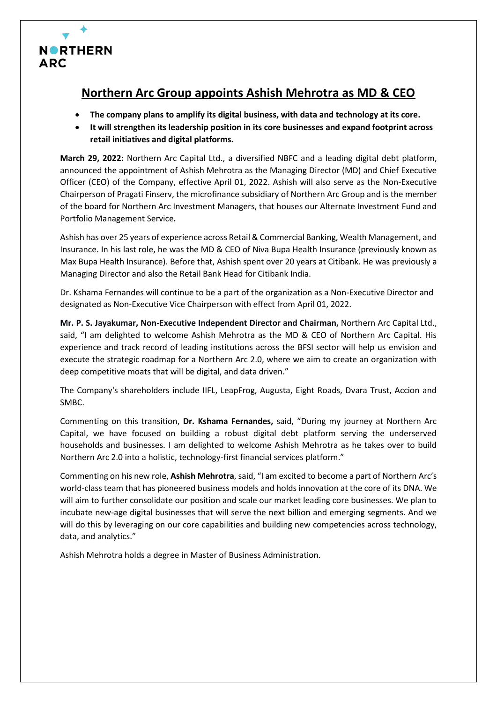

## **Northern Arc Group appoints Ashish Mehrotra as MD & CEO**

- **The company plans to amplify its digital business, with data and technology at its core.**
- **It will strengthen its leadership position in its core businesses and expand footprint across retail initiatives and digital platforms.**

**March 29, 2022:** Northern Arc Capital Ltd., a diversified NBFC and a leading digital debt platform, announced the appointment of Ashish Mehrotra as the Managing Director (MD) and Chief Executive Officer (CEO) of the Company, effective April 01, 2022. Ashish will also serve as the Non-Executive Chairperson of Pragati Finserv, the microfinance subsidiary of Northern Arc Group and is the member of the board for Northern Arc Investment Managers, that houses our Alternate Investment Fund and Portfolio Management Service*.*

Ashish has over 25 years of experience across Retail & Commercial Banking, Wealth Management, and Insurance. In his last role, he was the MD & CEO of Niva Bupa Health Insurance (previously known as Max Bupa Health Insurance). Before that, Ashish spent over 20 years at Citibank. He was previously a Managing Director and also the Retail Bank Head for Citibank India.

Dr. Kshama Fernandes will continue to be a part of the organization as a Non-Executive Director and designated as Non-Executive Vice Chairperson with effect from April 01, 2022.

**Mr. P. S. Jayakumar, Non-Executive Independent Director and Chairman,** Northern Arc Capital Ltd., said, "I am delighted to welcome Ashish Mehrotra as the MD & CEO of Northern Arc Capital. His experience and track record of leading institutions across the BFSI sector will help us envision and execute the strategic roadmap for a Northern Arc 2.0, where we aim to create an organization with deep competitive moats that will be digital, and data driven."

The Company's shareholders include IIFL, LeapFrog, Augusta, Eight Roads, Dvara Trust, Accion and SMBC.

Commenting on this transition, **Dr. Kshama Fernandes,** said, "During my journey at Northern Arc Capital, we have focused on building a robust digital debt platform serving the underserved households and businesses. I am delighted to welcome Ashish Mehrotra as he takes over to build Northern Arc 2.0 into a holistic, technology-first financial services platform."

Commenting on his new role, **Ashish Mehrotra**, said, "I am excited to become a part of Northern Arc's world-class team that has pioneered business models and holds innovation at the core of its DNA. We will aim to further consolidate our position and scale our market leading core businesses. We plan to incubate new-age digital businesses that will serve the next billion and emerging segments. And we will do this by leveraging on our core capabilities and building new competencies across technology, data, and analytics."

Ashish Mehrotra holds a degree in Master of Business Administration.